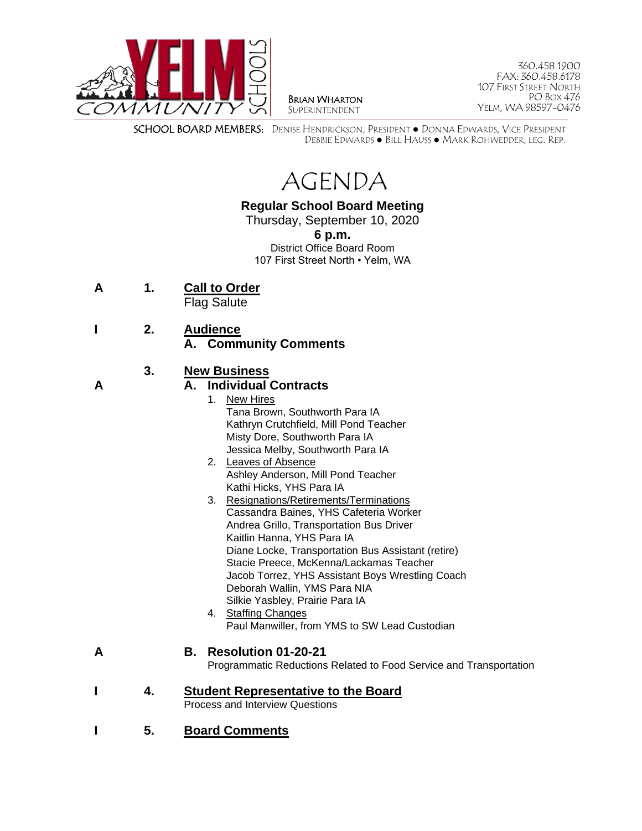

BRIAN WHARTON SUPERINTENDENT

360.458.1900 FAX: 360.458.6178 107 FIRST STREET NORTH PO BOX 476 YELM, WA 98597-0476

SCHOOL BOARD MEMBERS: DENISE HENDRICKSON, PRESIDENT ● DONNA EDWARDS, VICE PRESIDENT DEBBIE EDWARDS ● BILL HAUSS ● MARK ROHWEDDER, LEG. REP.

AGENDA

# **Regular School Board Meeting**

Thursday, September 10, 2020

**6 p.m.**

District Office Board Room 107 First Street North • Yelm, WA

- **A 1. Call to Order** Flag Salute
- **I 2. Audience**
	- **A. Community Comments**

## **3. New Business**

#### **A A. Individual Contracts**

- 1. New Hires Tana Brown, Southworth Para IA Kathryn Crutchfield, Mill Pond Teacher Misty Dore, Southworth Para IA Jessica Melby, Southworth Para IA
- 2. Leaves of Absence Ashley Anderson, Mill Pond Teacher Kathi Hicks, YHS Para IA
- 3. Resignations/Retirements/Terminations Cassandra Baines, YHS Cafeteria Worker Andrea Grillo, Transportation Bus Driver Kaitlin Hanna, YHS Para IA Diane Locke, Transportation Bus Assistant (retire) Stacie Preece, McKenna/Lackamas Teacher Jacob Torrez, YHS Assistant Boys Wrestling Coach Deborah Wallin, YMS Para NIA Silkie Yasbley, Prairie Para IA
- 4. Staffing Changes Paul Manwiller, from YMS to SW Lead Custodian

#### **A B. Resolution 01-20-21**

Programmatic Reductions Related to Food Service and Transportation

- **I 4. Student Representative to the Board** Process and Interview Questions
- **I 5. Board Comments**